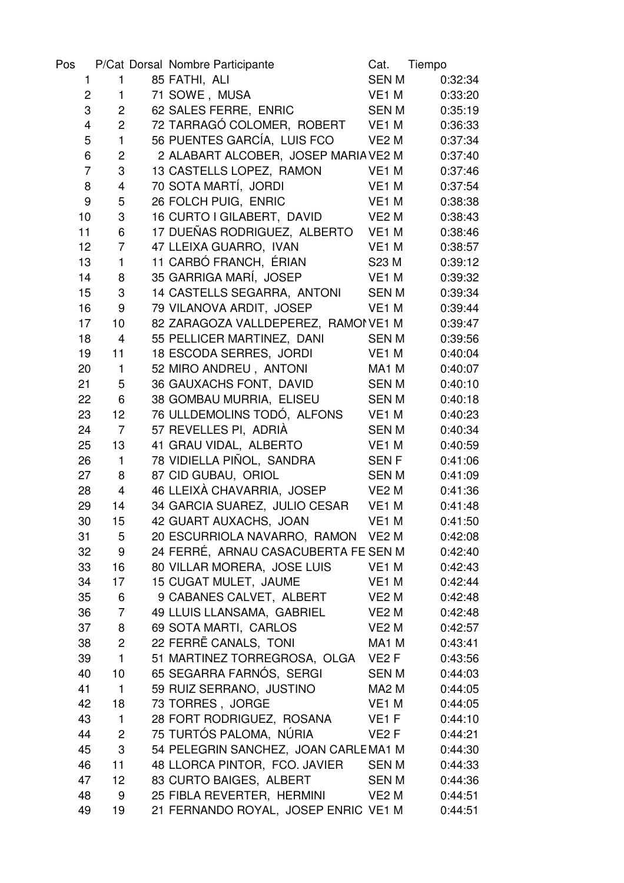| Pos            |                         | P/Cat Dorsal Nombre Participante     | Cat.              | Tiempo  |
|----------------|-------------------------|--------------------------------------|-------------------|---------|
| 1              | 1                       | 85 FATHI, ALI                        | <b>SENM</b>       | 0:32:34 |
| $\overline{c}$ | $\mathbf{1}$            | 71 SOWE, MUSA                        | VE <sub>1</sub> M | 0:33:20 |
| 3              | $\overline{c}$          | 62 SALES FERRE, ENRIC                | <b>SENM</b>       | 0:35:19 |
| 4              | $\overline{c}$          | 72 TARRAGÓ COLOMER, ROBERT           | VE <sub>1</sub> M | 0:36:33 |
| 5              | $\mathbf{1}$            | 56 PUENTES GARCÍA, LUIS FCO          | VE <sub>2</sub> M | 0:37:34 |
| 6              | $\overline{c}$          | 2 ALABART ALCOBER, JOSEP MARIA VE2 M |                   | 0:37:40 |
| $\overline{7}$ | 3                       | 13 CASTELLS LOPEZ, RAMON             | VE1 M             | 0:37:46 |
| 8              | 4                       | 70 SOTA MARTÍ, JORDI                 | VE1 M             | 0:37:54 |
| 9              | 5                       | 26 FOLCH PUIG, ENRIC                 | VE1 M             | 0:38:38 |
| 10             | 3                       | 16 CURTO I GILABERT, DAVID           | VE <sub>2</sub> M | 0:38:43 |
| 11             | 6                       | 17 DUEÑAS RODRIGUEZ, ALBERTO         | VE1 M             | 0:38:46 |
| 12             | $\overline{7}$          | 47 LLEIXA GUARRO, IVAN               | VE <sub>1</sub> M | 0:38:57 |
| 13             | $\mathbf{1}$            | 11 CARBÓ FRANCH, ÉRIAN               | S23 M             | 0:39:12 |
| 14             | 8                       | 35 GARRIGA MARÍ, JOSEP               | VE <sub>1</sub> M | 0:39:32 |
| 15             | $\sqrt{3}$              | 14 CASTELLS SEGARRA, ANTONI          | <b>SENM</b>       | 0:39:34 |
| 16             | $\boldsymbol{9}$        | 79 VILANOVA ARDIT, JOSEP             | VE <sub>1</sub> M | 0:39:44 |
| 17             | 10                      | 82 ZARAGOZA VALLDEPEREZ, RAMON VE1 M |                   | 0:39:47 |
| 18             | 4                       | 55 PELLICER MARTINEZ, DANI           | <b>SENM</b>       | 0:39:56 |
| 19             | 11                      | 18 ESCODA SERRES, JORDI              | VE <sub>1</sub> M | 0:40:04 |
| 20             | $\mathbf{1}$            | 52 MIRO ANDREU, ANTONI               | MA1 M             | 0:40:07 |
| 21             | 5                       | 36 GAUXACHS FONT, DAVID              | <b>SENM</b>       | 0:40:10 |
| 22             | 6                       | 38 GOMBAU MURRIA, ELISEU             | <b>SENM</b>       | 0:40:18 |
| 23             | 12                      | 76 ULLDEMOLINS TODÓ, ALFONS          | VE <sub>1</sub> M | 0:40:23 |
| 24             | $\overline{7}$          | 57 REVELLES PI, ADRIÀ                | <b>SENM</b>       | 0:40:34 |
| 25             | 13                      | 41 GRAU VIDAL, ALBERTO               | VE <sub>1</sub> M | 0:40:59 |
| 26             | $\mathbf{1}$            | 78 VIDIELLA PIÑOL, SANDRA            | <b>SENF</b>       | 0:41:06 |
| 27             | 8                       | 87 CID GUBAU, ORIOL                  | <b>SENM</b>       | 0:41:09 |
| 28             | $\overline{\mathbf{4}}$ | 46 LLEIXÀ CHAVARRIA, JOSEP           | VE <sub>2</sub> M | 0:41:36 |
| 29             | 14                      | 34 GARCIA SUAREZ, JULIO CESAR        | VE1 M             | 0:41:48 |
| 30             | 15                      | 42 GUART AUXACHS, JOAN               | VE <sub>1</sub> M | 0:41:50 |
| 31             | 5                       | 20 ESCURRIOLA NAVARRO, RAMON VE2 M   |                   | 0:42:08 |
| 32             | 9                       | 24 FERRÉ, ARNAU CASACUBERTA FE SEN M |                   | 0:42:40 |
| 33             | 16                      | 80 VILLAR MORERA, JOSE LUIS          | VE1 M             | 0:42:43 |
| 34             | 17                      | 15 CUGAT MULET, JAUME                | VE <sub>1</sub> M | 0:42:44 |
| 35             | 6                       | 9 CABANES CALVET, ALBERT             | VE <sub>2</sub> M | 0:42:48 |
| 36             | $\overline{7}$          | 49 LLUIS LLANSAMA, GABRIEL           | VE <sub>2</sub> M | 0:42:48 |
| 37             | 8                       | 69 SOTA MARTI, CARLOS                | VE <sub>2</sub> M | 0:42:57 |
| 38             | $\overline{2}$          | 22 FERRË CANALS, TONI                | MA <sub>1</sub> M | 0:43:41 |
| 39             | $\mathbf{1}$            | 51 MARTINEZ TORREGROSA, OLGA VE2 F   |                   | 0:43:56 |
| 40             | 10                      | 65 SEGARRA FARNÓS, SERGI             | <b>SEN M</b>      | 0:44:03 |
| 41             | $\mathbf{1}$            | 59 RUIZ SERRANO, JUSTINO             | MA <sub>2</sub> M | 0:44:05 |
| 42             | 18                      | 73 TORRES, JORGE                     | VE <sub>1</sub> M | 0:44:05 |
| 43             | $\mathbf{1}$            | 28 FORT RODRIGUEZ, ROSANA            | VE <sub>1</sub> F | 0:44:10 |
| 44             | $\mathbf{2}$            | 75 TURTÓS PALOMA, NÚRIA              | VE2F              | 0:44:21 |
| 45             | $\sqrt{3}$              | 54 PELEGRIN SANCHEZ, JOAN CARLEMA1 M |                   | 0:44:30 |
| 46             | 11                      | 48 LLORCA PINTOR, FCO. JAVIER        | <b>SENM</b>       | 0:44:33 |
| 47             | 12                      | 83 CURTO BAIGES, ALBERT              | <b>SENM</b>       | 0:44:36 |
| 48             | 9                       | 25 FIBLA REVERTER, HERMINI           | VE2 M             | 0:44:51 |
| 49             | 19                      | 21 FERNANDO ROYAL, JOSEP ENRIC VE1 M |                   | 0:44:51 |